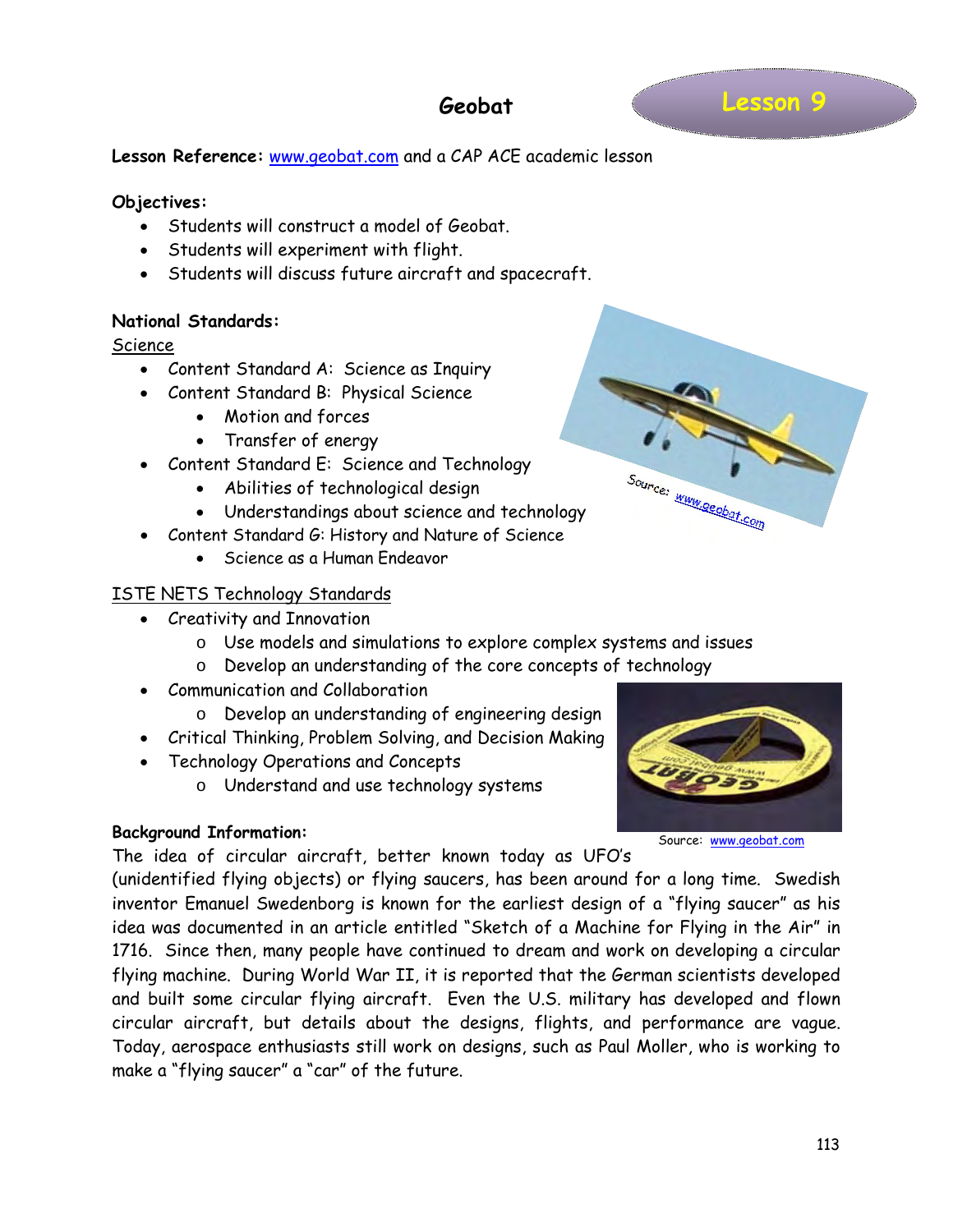## **Geobat**

#### **Lesson Reference:** [www.geobat.com](http://www.geobat.com/) and a CAP ACE academic lesson

#### **Objectives:**

- Students will construct a model of Geobat.
- Students will experiment with flight.
- Students will discuss future aircraft and spacecraft.

#### **National Standards:**

#### Science

- Content Standard A: Science as Inquiry
- Content Standard B: Physical Science
	- Motion and forces
	- Transfer of energy
- Content Standard E: Science and Technology
	- Abilities of technological design
	- Understandings about science and technology
- Content Standard G: History and Nature of Science
	- Science as a Human Endeavor

#### ISTE NETS Technology Standards

- Creativity and Innovation
	- o Use models and simulations to explore complex systems and issues
	- o Develop an understanding of the core concepts of technology
- Communication and Collaboration
	- o Develop an understanding of engineering design
- Critical Thinking, Problem Solving, and Decision Making
- Technology Operations and Concepts
	- o Understand and use technology systems

#### **Background Information:**

The idea of circular aircraft, better known today as UFO's

(unidentified flying objects) or flying saucers, has been around for a long time. Swedish inventor Emanuel Swedenborg is known for the earliest design of a "flying saucer" as his idea was documented in an article entitled "Sketch of a Machine for Flying in the Air" in 1716. Since then, many people have continued to dream and work on developing a circular flying machine. During World War II, it is reported that the German scientists developed and built some circular flying aircraft. Even the U.S. military has developed and flown circular aircraft, but details about the designs, flights, and performance are vague. Today, aerospace enthusiasts still work on designs, such as Paul Moller, who is working to make a "flying saucer" a "car" of the future.



Source: www.geobat.com

Source: [www.geobat.com](http://www.geobat.com/)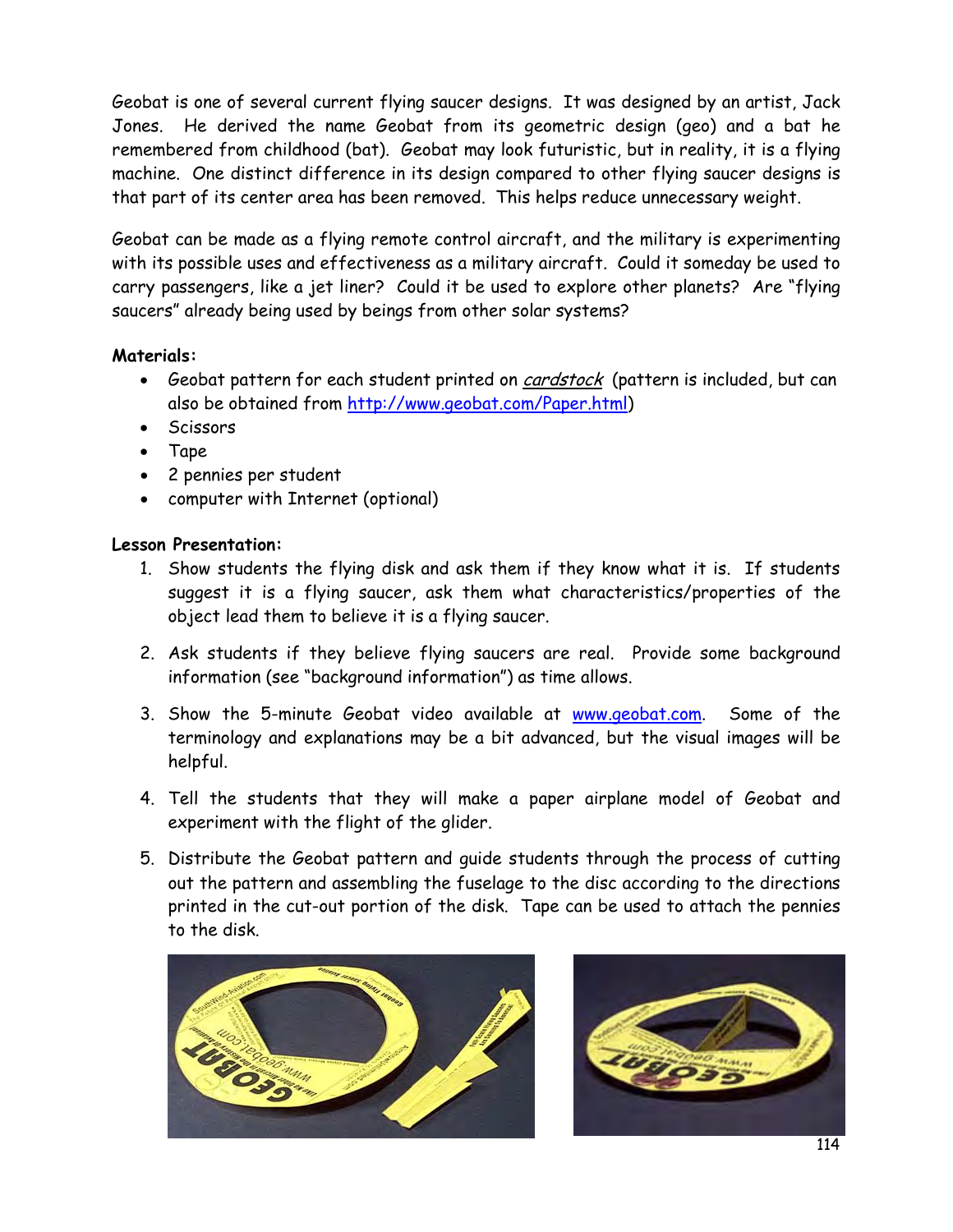Geobat is one of several current flying saucer designs. It was designed by an artist, Jack Jones. He derived the name Geobat from its geometric design (geo) and a bat he remembered from childhood (bat). Geobat may look futuristic, but in reality, it is a flying machine. One distinct difference in its design compared to other flying saucer designs is that part of its center area has been removed. This helps reduce unnecessary weight.

Geobat can be made as a flying remote control aircraft, and the military is experimenting with its possible uses and effectiveness as a military aircraft. Could it someday be used to carry passengers, like a jet liner? Could it be used to explore other planets? Are "flying saucers" already being used by beings from other solar systems?

## **Materials:**

- Geobat pattern for each student printed on *cardstock* (pattern is included, but can also be obtained from [http://www.geobat.com/Paper.html\)](http://www.geobat.com/Paper.html)
- Scissors
- Tape
- 2 pennies per student
- computer with Internet (optional)

## **Lesson Presentation:**

- 1. Show students the flying disk and ask them if they know what it is. If students suggest it is a flying saucer, ask them what characteristics/properties of the object lead them to believe it is a flying saucer.
- 2. Ask students if they believe flying saucers are real. Provide some background information (see "background information") as time allows.
- 3. Show the 5-minute Geobat video available at [www.geobat.com.](http://www.geobat.com/) Some of the terminology and explanations may be a bit advanced, but the visual images will be helpful.
- 4. Tell the students that they will make a paper airplane model of Geobat and experiment with the flight of the glider.
- 5. Distribute the Geobat pattern and guide students through the process of cutting out the pattern and assembling the fuselage to the disc according to the directions printed in the cut-out portion of the disk. Tape can be used to attach the pennies to the disk.



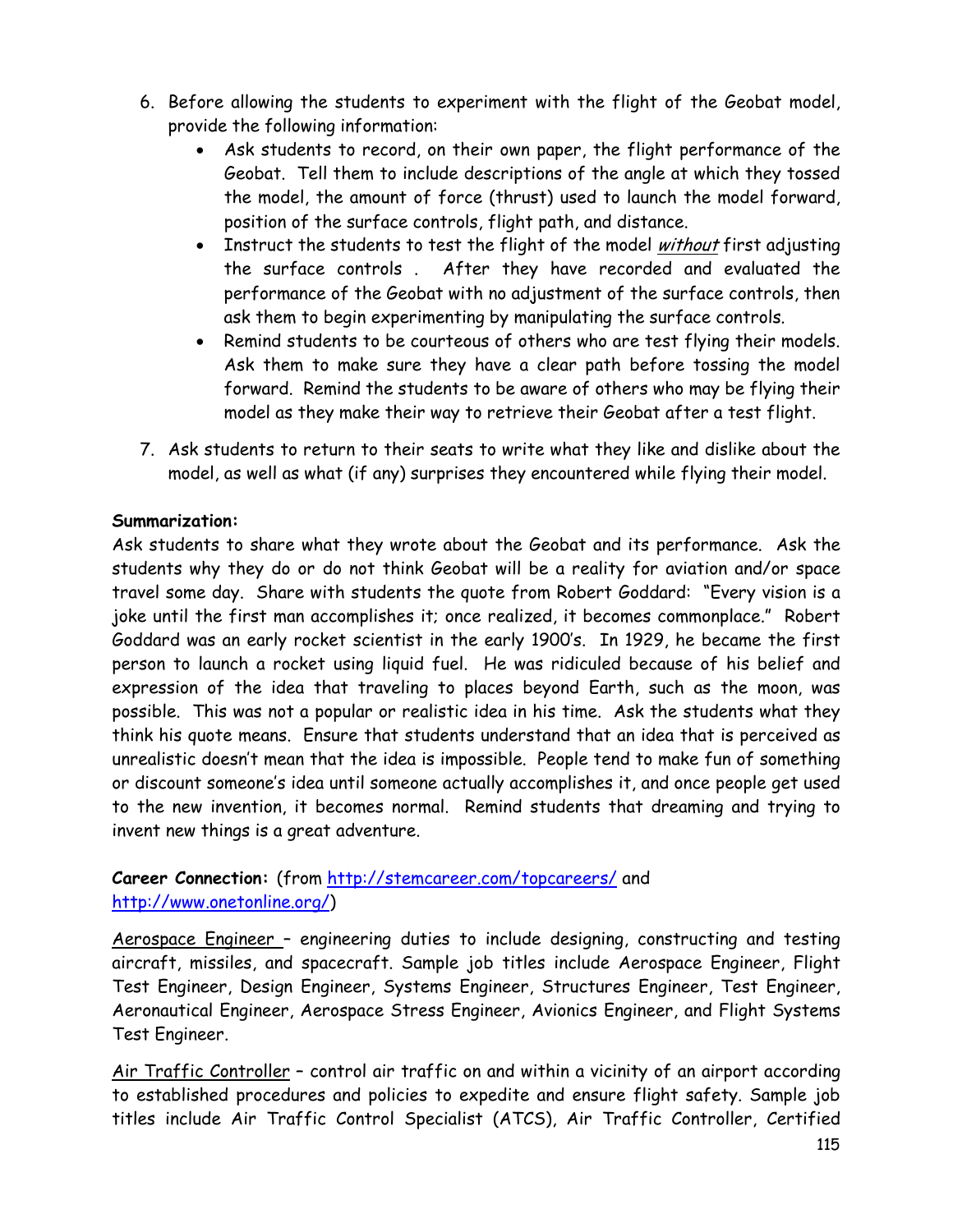- 6. Before allowing the students to experiment with the flight of the Geobat model, provide the following information:
	- Ask students to record, on their own paper, the flight performance of the Geobat. Tell them to include descriptions of the angle at which they tossed the model, the amount of force (thrust) used to launch the model forward, position of the surface controls, flight path, and distance.
	- Instruct the students to test the flight of the model without first adjusting the surface controls . After they have recorded and evaluated the performance of the Geobat with no adjustment of the surface controls, then ask them to begin experimenting by manipulating the surface controls.
	- Remind students to be courteous of others who are test flying their models. Ask them to make sure they have a clear path before tossing the model forward. Remind the students to be aware of others who may be flying their model as they make their way to retrieve their Geobat after a test flight.
- 7. Ask students to return to their seats to write what they like and dislike about the model, as well as what (if any) surprises they encountered while flying their model.

## **Summarization:**

Ask students to share what they wrote about the Geobat and its performance. Ask the students why they do or do not think Geobat will be a reality for aviation and/or space travel some day. Share with students the quote from Robert Goddard: "Every vision is a joke until the first man accomplishes it; once realized, it becomes commonplace." Robert Goddard was an early rocket scientist in the early 1900's. In 1929, he became the first person to launch a rocket using liquid fuel. He was ridiculed because of his belief and expression of the idea that traveling to places beyond Earth, such as the moon, was possible. This was not a popular or realistic idea in his time. Ask the students what they think his quote means. Ensure that students understand that an idea that is perceived as unrealistic doesn't mean that the idea is impossible. People tend to make fun of something or discount someone's idea until someone actually accomplishes it, and once people get used to the new invention, it becomes normal. Remind students that dreaming and trying to invent new things is a great adventure.

## **Career Connection:** (from<http://stemcareer.com/topcareers/> and [http://www.onetonline.org/\)](http://www.onetonline.org/)

Aerospace Engineer – engineering duties to include designing, constructing and testing aircraft, missiles, and spacecraft. Sample job titles include Aerospace Engineer, Flight Test Engineer, Design Engineer, Systems Engineer, Structures Engineer, Test Engineer, Aeronautical Engineer, Aerospace Stress Engineer, Avionics Engineer, and Flight Systems Test Engineer.

Air Traffic Controller – control air traffic on and within a vicinity of an airport according to established procedures and policies to expedite and ensure flight safety. Sample job titles include Air Traffic Control Specialist (ATCS), Air Traffic Controller, Certified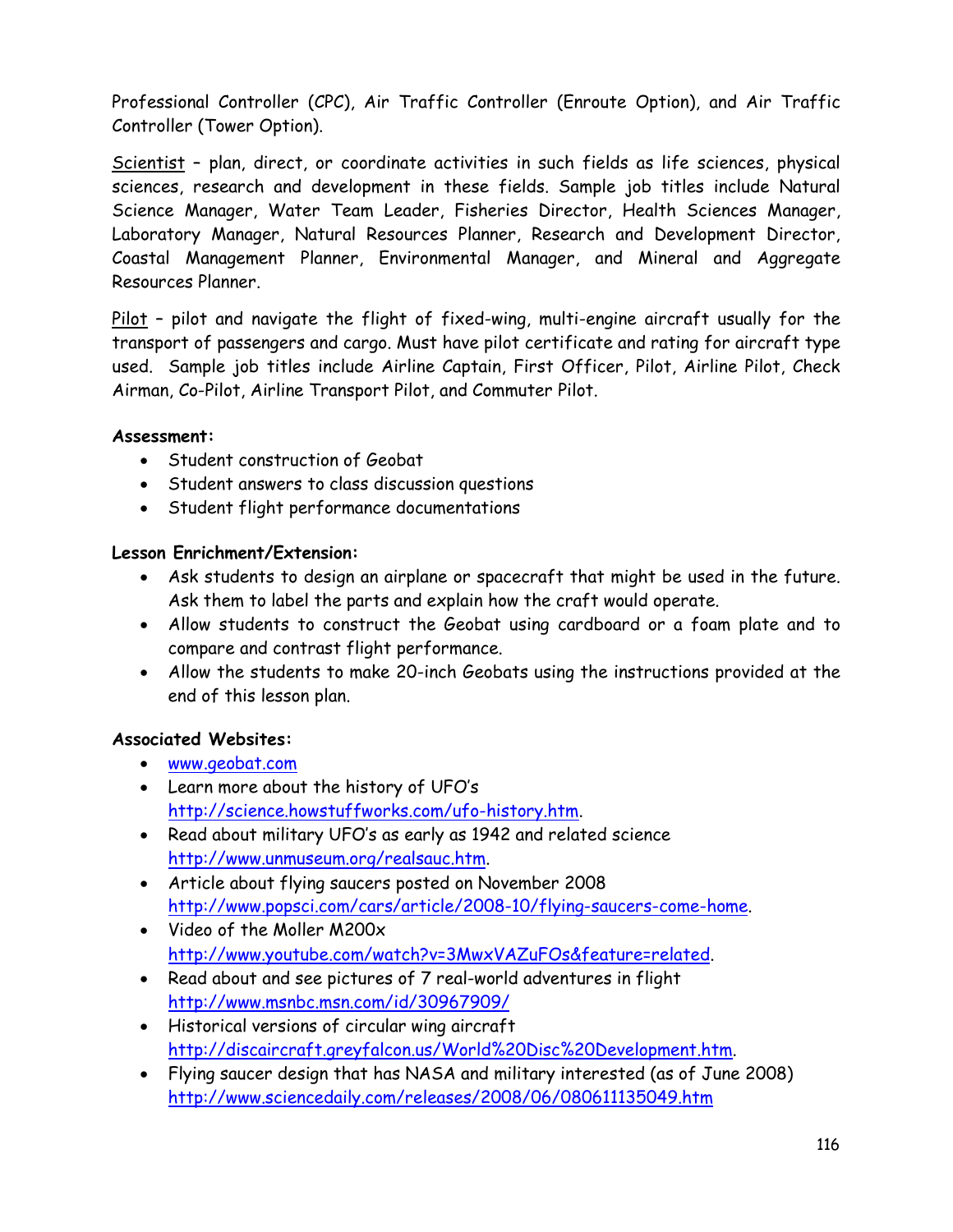Professional Controller (CPC), Air Traffic Controller (Enroute Option), and Air Traffic Controller (Tower Option).

Scientist – plan, direct, or coordinate activities in such fields as life sciences, physical sciences, research and development in these fields. Sample job titles include Natural Science Manager, Water Team Leader, Fisheries Director, Health Sciences Manager, Laboratory Manager, Natural Resources Planner, Research and Development Director, Coastal Management Planner, Environmental Manager, and Mineral and Aggregate Resources Planner.

Pilot – pilot and navigate the flight of fixed-wing, multi-engine aircraft usually for the transport of passengers and cargo. Must have pilot certificate and rating for aircraft type used. Sample job titles include Airline Captain, First Officer, Pilot, Airline Pilot, Check Airman, Co-Pilot, Airline Transport Pilot, and Commuter Pilot.

#### **Assessment:**

- Student construction of Geobat
- Student answers to class discussion questions
- Student flight performance documentations

## **Lesson Enrichment/Extension:**

- Ask students to design an airplane or spacecraft that might be used in the future. Ask them to label the parts and explain how the craft would operate.
- Allow students to construct the Geobat using cardboard or a foam plate and to compare and contrast flight performance.
- Allow the students to make 20-inch Geobats using the instructions provided at the end of this lesson plan.

## **Associated Websites:**

- [www.geobat.com](http://www.geobat.com/)
- Learn more about the history of UFO's [http://science.howstuffworks.com/ufo-history.htm.](http://science.howstuffworks.com/ufo-history.htm)
- Read about military UFO's as early as 1942 and related science [http://www.unmuseum.org/realsauc.htm.](http://www.unmuseum.org/realsauc.htm)
- Article about flying saucers posted on November 2008 [http://www.popsci.com/cars/article/2008-10/flying-saucers-come-home.](http://www.popsci.com/cars/article/2008-10/flying-saucers-come-home)
- Video of the Moller M200x [http://www.youtube.com/watch?v=3MwxVAZuFOs&feature=related.](http://www.youtube.com/watch?v=3MwxVAZuFOs&feature=related)
- Read about and see pictures of 7 real-world adventures in flight <http://www.msnbc.msn.com/id/30967909/>
- Historical versions of circular wing aircraft [http://discaircraft.greyfalcon.us/World%20Disc%20Development.htm.](http://discaircraft.greyfalcon.us/World%20Disc%20Development.htm)
- Flying saucer design that has NASA and military interested (as of June 2008) <http://www.sciencedaily.com/releases/2008/06/080611135049.htm>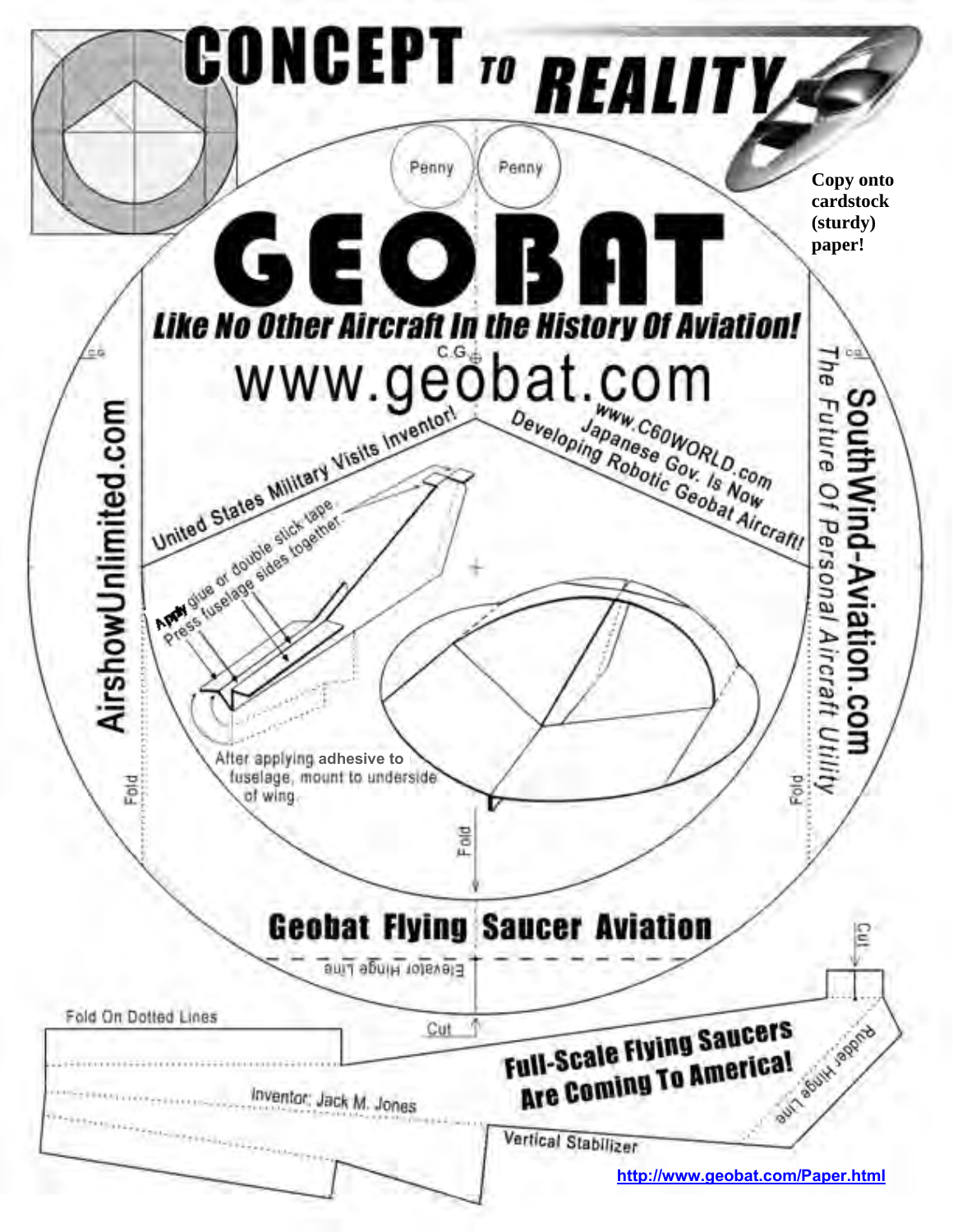